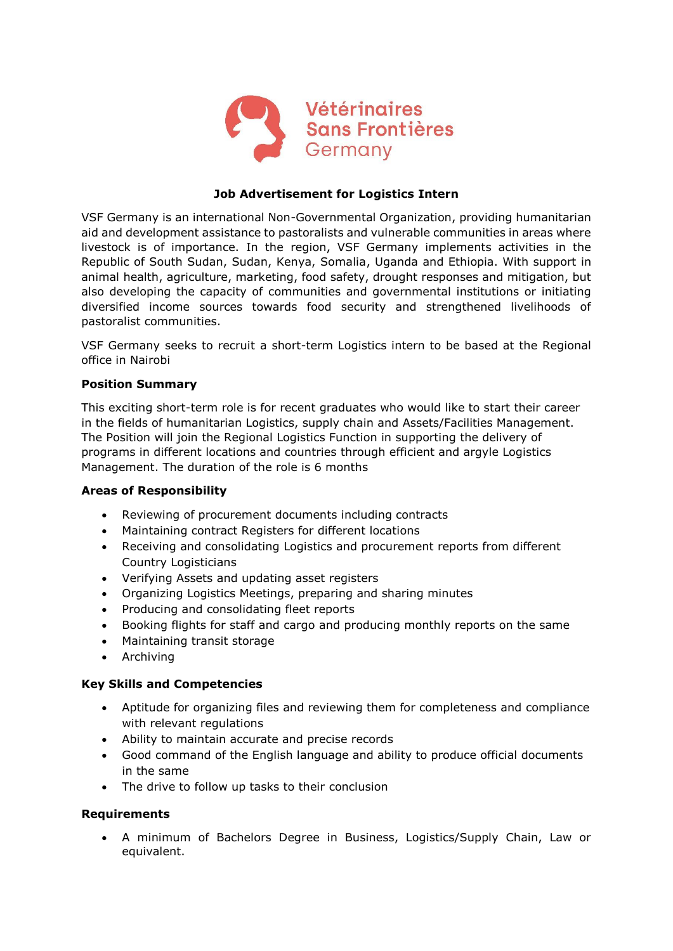

# **Job Advertisement for Logistics Intern**

VSF Germany is an international Non-Governmental Organization, providing humanitarian aid and development assistance to pastoralists and vulnerable communities in areas where livestock is of importance. In the region, VSF Germany implements activities in the Republic of South Sudan, Sudan, Kenya, Somalia, Uganda and Ethiopia. With support in animal health, agriculture, marketing, food safety, drought responses and mitigation, but also developing the capacity of communities and governmental institutions or initiating diversified income sources towards food security and strengthened livelihoods of pastoralist communities.

VSF Germany seeks to recruit a short-term Logistics intern to be based at the Regional office in Nairobi

#### **Position Summary**

This exciting short-term role is for recent graduates who would like to start their career in the fields of humanitarian Logistics, supply chain and Assets/Facilities Management. The Position will join the Regional Logistics Function in supporting the delivery of programs in different locations and countries through efficient and argyle Logistics Management. The duration of the role is 6 months

#### **Areas of Responsibility**

- Reviewing of procurement documents including contracts
- Maintaining contract Registers for different locations
- Receiving and consolidating Logistics and procurement reports from different Country Logisticians
- Verifying Assets and updating asset registers
- Organizing Logistics Meetings, preparing and sharing minutes
- Producing and consolidating fleet reports
- Booking flights for staff and cargo and producing monthly reports on the same
- Maintaining transit storage
- Archiving

# **Key Skills and Competencies**

- Aptitude for organizing files and reviewing them for completeness and compliance with relevant regulations
- Ability to maintain accurate and precise records
- Good command of the English language and ability to produce official documents in the same
- The drive to follow up tasks to their conclusion

# **Requirements**

• A minimum of Bachelors Degree in Business, Logistics/Supply Chain, Law or equivalent.